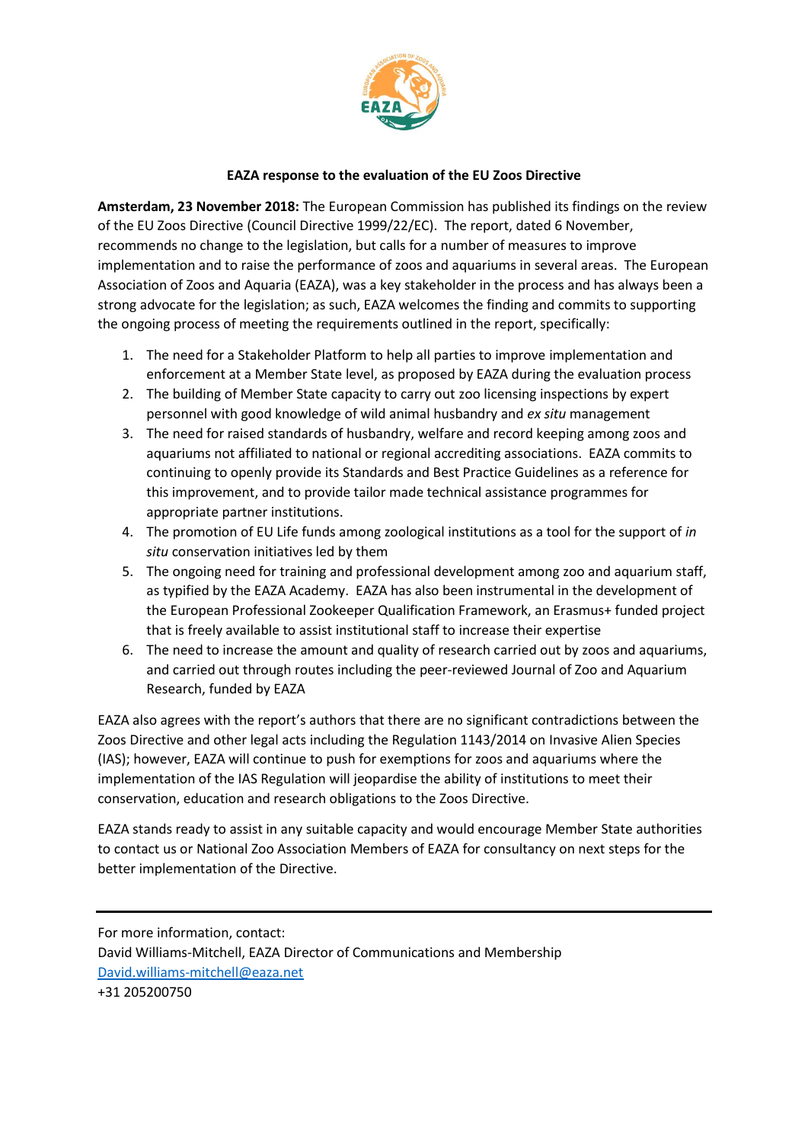

## **EAZA response to the evaluation of the EU Zoos Directive**

**Amsterdam, 23 November 2018:** The European Commission has published its findings on the review of the EU Zoos Directive (Council Directive 1999/22/EC). The report, dated 6 November, recommends no change to the legislation, but calls for a number of measures to improve implementation and to raise the performance of zoos and aquariums in several areas. The European Association of Zoos and Aquaria (EAZA), was a key stakeholder in the process and has always been a strong advocate for the legislation; as such, EAZA welcomes the finding and commits to supporting the ongoing process of meeting the requirements outlined in the report, specifically:

- 1. The need for a Stakeholder Platform to help all parties to improve implementation and enforcement at a Member State level, as proposed by EAZA during the evaluation process
- 2. The building of Member State capacity to carry out zoo licensing inspections by expert personnel with good knowledge of wild animal husbandry and *ex situ* management
- 3. The need for raised standards of husbandry, welfare and record keeping among zoos and aquariums not affiliated to national or regional accrediting associations. EAZA commits to continuing to openly provide its Standards and Best Practice Guidelines as a reference for this improvement, and to provide tailor made technical assistance programmes for appropriate partner institutions.
- 4. The promotion of EU Life funds among zoological institutions as a tool for the support of *in situ* conservation initiatives led by them
- 5. The ongoing need for training and professional development among zoo and aquarium staff, as typified by the EAZA Academy. EAZA has also been instrumental in the development of the European Professional Zookeeper Qualification Framework, an Erasmus+ funded project that is freely available to assist institutional staff to increase their expertise
- 6. The need to increase the amount and quality of research carried out by zoos and aquariums, and carried out through routes including the peer-reviewed Journal of Zoo and Aquarium Research, funded by EAZA

EAZA also agrees with the report's authors that there are no significant contradictions between the Zoos Directive and other legal acts including the Regulation 1143/2014 on Invasive Alien Species (IAS); however, EAZA will continue to push for exemptions for zoos and aquariums where the implementation of the IAS Regulation will jeopardise the ability of institutions to meet their conservation, education and research obligations to the Zoos Directive.

EAZA stands ready to assist in any suitable capacity and would encourage Member State authorities to contact us or National Zoo Association Members of EAZA for consultancy on next steps for the better implementation of the Directive.

For more information, contact: David Williams-Mitchell, EAZA Director of Communications and Membership [David.williams-mitchell@eaza.net](mailto:David.williams-mitchell@eaza.net) +31 205200750